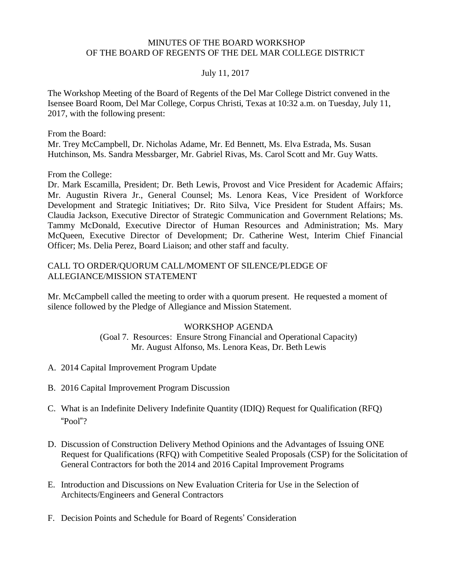#### MINUTES OF THE BOARD WORKSHOP OF THE BOARD OF REGENTS OF THE DEL MAR COLLEGE DISTRICT

#### July 11, 2017

The Workshop Meeting of the Board of Regents of the Del Mar College District convened in the Isensee Board Room, Del Mar College, Corpus Christi, Texas at 10:32 a.m. on Tuesday, July 11, 2017, with the following present:

From the Board:

Mr. Trey McCampbell, Dr. Nicholas Adame, Mr. Ed Bennett, Ms. Elva Estrada, Ms. Susan Hutchinson, Ms. Sandra Messbarger, Mr. Gabriel Rivas, Ms. Carol Scott and Mr. Guy Watts.

From the College:

Dr. Mark Escamilla, President; Dr. Beth Lewis, Provost and Vice President for Academic Affairs; Mr. Augustin Rivera Jr., General Counsel; Ms. Lenora Keas, Vice President of Workforce Development and Strategic Initiatives; Dr. Rito Silva, Vice President for Student Affairs; Ms. Claudia Jackson, Executive Director of Strategic Communication and Government Relations; Ms. Tammy McDonald, Executive Director of Human Resources and Administration; Ms. Mary McQueen, Executive Director of Development; Dr. Catherine West, Interim Chief Financial Officer; Ms. Delia Perez, Board Liaison; and other staff and faculty.

#### CALL TO ORDER/QUORUM CALL/MOMENT OF SILENCE/PLEDGE OF ALLEGIANCE/MISSION STATEMENT

Mr. McCampbell called the meeting to order with a quorum present. He requested a moment of silence followed by the Pledge of Allegiance and Mission Statement.

#### WORKSHOP AGENDA

(Goal 7. Resources: Ensure Strong Financial and Operational Capacity) Mr. August Alfonso, Ms. Lenora Keas, Dr. Beth Lewis

- A. 2014 Capital Improvement Program Update
- B. 2016 Capital Improvement Program Discussion
- C. What is an Indefinite Delivery Indefinite Quantity (IDIQ) Request for Qualification (RFQ) "Pool"?
- D. Discussion of Construction Delivery Method Opinions and the Advantages of Issuing ONE Request for Qualifications (RFQ) with Competitive Sealed Proposals (CSP) for the Solicitation of General Contractors for both the 2014 and 2016 Capital Improvement Programs
- E. Introduction and Discussions on New Evaluation Criteria for Use in the Selection of Architects/Engineers and General Contractors
- F. Decision Points and Schedule for Board of Regents' Consideration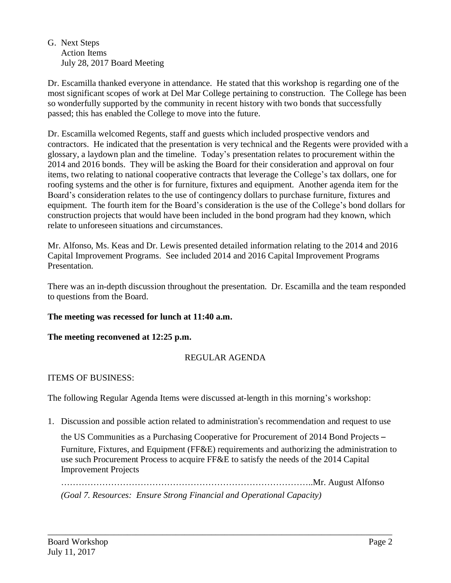#### G. Next Steps Action Items July 28, 2017 Board Meeting

Dr. Escamilla thanked everyone in attendance. He stated that this workshop is regarding one of the most significant scopes of work at Del Mar College pertaining to construction. The College has been so wonderfully supported by the community in recent history with two bonds that successfully passed; this has enabled the College to move into the future.

Dr. Escamilla welcomed Regents, staff and guests which included prospective vendors and contractors. He indicated that the presentation is very technical and the Regents were provided with a glossary, a laydown plan and the timeline. Today's presentation relates to procurement within the 2014 and 2016 bonds. They will be asking the Board for their consideration and approval on four items, two relating to national cooperative contracts that leverage the College's tax dollars, one for roofing systems and the other is for furniture, fixtures and equipment. Another agenda item for the Board's consideration relates to the use of contingency dollars to purchase furniture, fixtures and equipment. The fourth item for the Board's consideration is the use of the College's bond dollars for construction projects that would have been included in the bond program had they known, which relate to unforeseen situations and circumstances.

Mr. Alfonso, Ms. Keas and Dr. Lewis presented detailed information relating to the 2014 and 2016 Capital Improvement Programs. See included 2014 and 2016 Capital [Improvement](http://www.delmar.edu/WorkArea/DownloadAsset.aspx?id=2147485753) Programs [Presentation.](http://www.delmar.edu/WorkArea/DownloadAsset.aspx?id=2147485753)

There was an in-depth discussion throughout the presentation. Dr. Escamilla and the team responded to questions from the Board.

# **The meeting was recessed for lunch at 11:40 a.m.**

# **The meeting reconvened at 12:25 p.m.**

# REGULAR AGENDA

# ITEMS OF BUSINESS:

The following Regular Agenda Items were discussed at-length in this morning's workshop:

1. Discussion and possible action related to administration's recommendation and request to use

the US Communities as a Purchasing Cooperative for Procurement of 2014 Bond Projects – Furniture, Fixtures, and Equipment (FF&E) requirements and authorizing the administration to use such Procurement Process to acquire FF&E to satisfy the needs of the 2014 Capital Improvement Projects

…………………………………………………………………………..Mr. August Alfonso *(Goal 7. Resources: Ensure Strong Financial and Operational Capacity)*

\_\_\_\_\_\_\_\_\_\_\_\_\_\_\_\_\_\_\_\_\_\_\_\_\_\_\_\_\_\_\_\_\_\_\_\_\_\_\_\_\_\_\_\_\_\_\_\_\_\_\_\_\_\_\_\_\_\_\_\_\_\_\_\_\_\_\_\_\_\_\_\_\_\_\_\_\_\_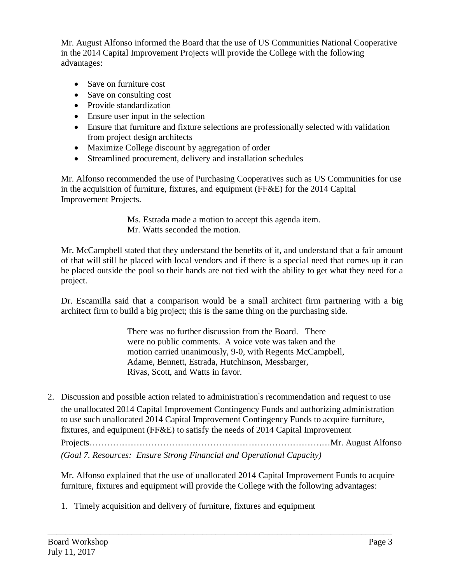Mr. August Alfonso informed the Board that the use of US Communities National Cooperative in the 2014 Capital Improvement Projects will provide the College with the following advantages:

- Save on furniture cost
- Save on consulting cost
- Provide standardization
- Ensure user input in the selection
- Ensure that furniture and fixture selections are professionally selected with validation from project design architects
- Maximize College discount by aggregation of order
- Streamlined procurement, delivery and installation schedules

Mr. Alfonso recommended the use of Purchasing Cooperatives such as US Communities for use in the acquisition of furniture, fixtures, and equipment (FF&E) for the 2014 Capital Improvement Projects.

> Ms. Estrada made a motion to accept this agenda item. Mr. Watts seconded the motion.

Mr. McCampbell stated that they understand the benefits of it, and understand that a fair amount of that will still be placed with local vendors and if there is a special need that comes up it can be placed outside the pool so their hands are not tied with the ability to get what they need for a project.

Dr. Escamilla said that a comparison would be a small architect firm partnering with a big architect firm to build a big project; this is the same thing on the purchasing side.

> There was no further discussion from the Board. There were no public comments. A voice vote was taken and the motion carried unanimously, 9-0, with Regents McCampbell, Adame, Bennett, Estrada, Hutchinson, Messbarger, Rivas, Scott, and Watts in favor.

2. Discussion and possible action related to administration's recommendation and request to use the unallocated 2014 Capital Improvement Contingency Funds and authorizing administration to use such unallocated 2014 Capital Improvement Contingency Funds to acquire furniture, fixtures, and equipment (FF&E) to satisfy the needs of 2014 Capital Improvement

Projects…………………………………………………………………….…Mr. August Alfonso *(Goal 7. Resources: Ensure Strong Financial and Operational Capacity)*

Mr. Alfonso explained that the use of unallocated 2014 Capital Improvement Funds to acquire furniture, fixtures and equipment will provide the College with the following advantages:

\_\_\_\_\_\_\_\_\_\_\_\_\_\_\_\_\_\_\_\_\_\_\_\_\_\_\_\_\_\_\_\_\_\_\_\_\_\_\_\_\_\_\_\_\_\_\_\_\_\_\_\_\_\_\_\_\_\_\_\_\_\_\_\_\_\_\_\_\_\_\_\_\_\_\_\_\_\_

1. Timely acquisition and delivery of furniture, fixtures and equipment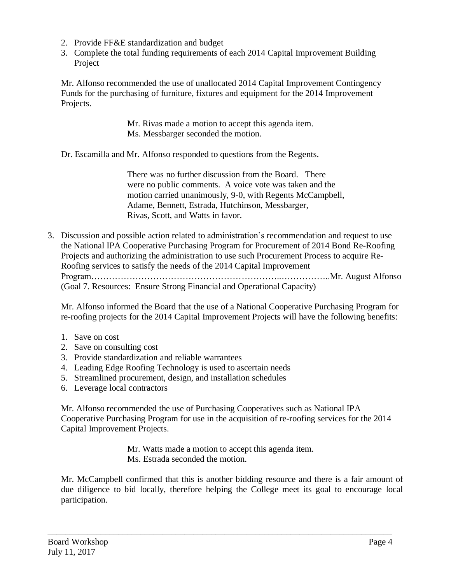- 2. Provide FF&E standardization and budget
- 3. Complete the total funding requirements of each 2014 Capital Improvement Building Project

Mr. Alfonso recommended the use of unallocated 2014 Capital Improvement Contingency Funds for the purchasing of furniture, fixtures and equipment for the 2014 Improvement Projects.

> Mr. Rivas made a motion to accept this agenda item. Ms. Messbarger seconded the motion.

Dr. Escamilla and Mr. Alfonso responded to questions from the Regents.

There was no further discussion from the Board. There were no public comments. A voice vote was taken and the motion carried unanimously, 9-0, with Regents McCampbell, Adame, Bennett, Estrada, Hutchinson, Messbarger, Rivas, Scott, and Watts in favor.

3. Discussion and possible action related to administration's recommendation and request to use the National IPA Cooperative Purchasing Program for Procurement of 2014 Bond Re-Roofing Projects and authorizing the administration to use such Procurement Process to acquire Re-Roofing services to satisfy the needs of the 2014 Capital Improvement Program………………………………………………………..……………..Mr. August Alfonso (Goal 7. Resources: Ensure Strong Financial and Operational Capacity)

Mr. Alfonso informed the Board that the use of a National Cooperative Purchasing Program for re-roofing projects for the 2014 Capital Improvement Projects will have the following benefits:

- 1. Save on cost
- 2. Save on consulting cost
- 3. Provide standardization and reliable warrantees
- 4. Leading Edge Roofing Technology is used to ascertain needs
- 5. Streamlined procurement, design, and installation schedules
- 6. Leverage local contractors

Mr. Alfonso recommended the use of Purchasing Cooperatives such as National IPA Cooperative Purchasing Program for use in the acquisition of re-roofing services for the 2014 Capital Improvement Projects.

> Mr. Watts made a motion to accept this agenda item. Ms. Estrada seconded the motion.

\_\_\_\_\_\_\_\_\_\_\_\_\_\_\_\_\_\_\_\_\_\_\_\_\_\_\_\_\_\_\_\_\_\_\_\_\_\_\_\_\_\_\_\_\_\_\_\_\_\_\_\_\_\_\_\_\_\_\_\_\_\_\_\_\_\_\_\_\_\_\_\_\_\_\_\_\_\_

Mr. McCampbell confirmed that this is another bidding resource and there is a fair amount of due diligence to bid locally, therefore helping the College meet its goal to encourage local participation.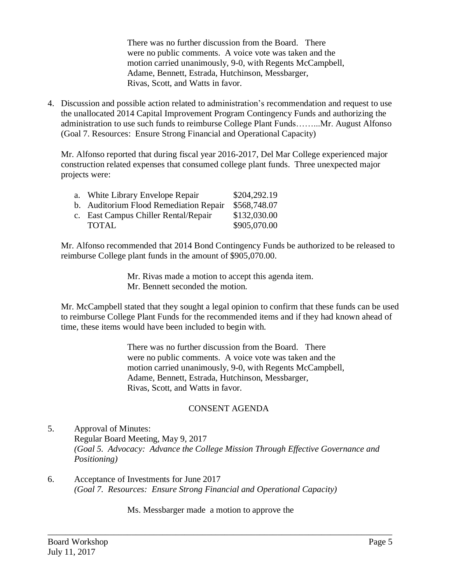There was no further discussion from the Board. There were no public comments. A voice vote was taken and the motion carried unanimously, 9-0, with Regents McCampbell, Adame, Bennett, Estrada, Hutchinson, Messbarger, Rivas, Scott, and Watts in favor.

4. Discussion and possible action related to administration's recommendation and request to use the unallocated 2014 Capital Improvement Program Contingency Funds and authorizing the administration to use such funds to reimburse College Plant Funds……...Mr. August Alfonso (Goal 7. Resources: Ensure Strong Financial and Operational Capacity)

Mr. Alfonso reported that during fiscal year 2016-2017, Del Mar College experienced major construction related expenses that consumed college plant funds. Three unexpected major projects were:

| a. White Library Envelope Repair       | \$204,292.19 |
|----------------------------------------|--------------|
| b. Auditorium Flood Remediation Repair | \$568,748.07 |
| c. East Campus Chiller Rental/Repair   | \$132,030.00 |
| <b>TOTAL</b>                           | \$905,070.00 |

Mr. Alfonso recommended that 2014 Bond Contingency Funds be authorized to be released to reimburse College plant funds in the amount of \$905,070.00.

> Mr. Rivas made a motion to accept this agenda item. Mr. Bennett seconded the motion.

Mr. McCampbell stated that they sought a legal opinion to confirm that these funds can be used to reimburse College Plant Funds for the recommended items and if they had known ahead of time, these items would have been included to begin with.

> There was no further discussion from the Board. There were no public comments. A voice vote was taken and the motion carried unanimously, 9-0, with Regents McCampbell, Adame, Bennett, Estrada, Hutchinson, Messbarger, Rivas, Scott, and Watts in favor.

# CONSENT AGENDA

- 5. Approval of Minutes: Regular Board Meeting, May 9, 2017 *(Goal 5. Advocacy: Advance the College Mission Through Effective Governance and Positioning)*
- 6. Acceptance of Investments for June 2017 *(Goal 7. Resources: Ensure Strong Financial and Operational Capacity)*

Ms. Messbarger made a motion to approve the

\_\_\_\_\_\_\_\_\_\_\_\_\_\_\_\_\_\_\_\_\_\_\_\_\_\_\_\_\_\_\_\_\_\_\_\_\_\_\_\_\_\_\_\_\_\_\_\_\_\_\_\_\_\_\_\_\_\_\_\_\_\_\_\_\_\_\_\_\_\_\_\_\_\_\_\_\_\_